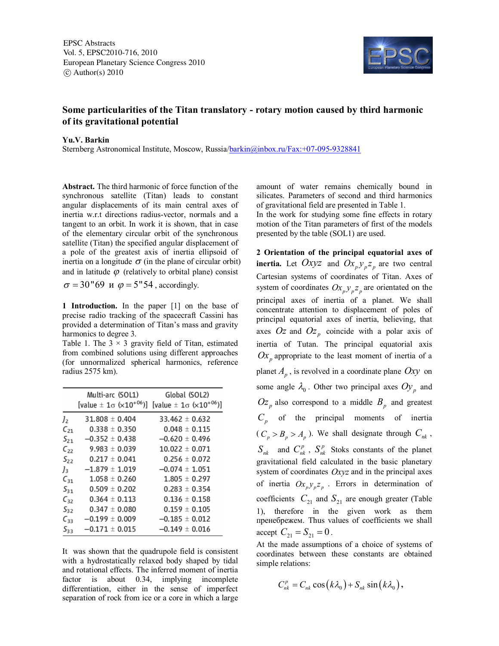EPSC Abstracts Vol. 5, EPSC2010-716, 2010 European Planetary Science Congress 2010  $\circ$  Author(s) 2010



## **Some particularities of the Titan translatory - rotary motion caused by third harmonic of its gravitational potential**

## **Yu.V. Barkin**

Sternberg Astronomical Institute, Moscow, Russia/barkin@inbox.ru/Fax:+07-095-9328841

**Abstract.** The third harmonic of force function of the synchronous satellite (Titan) leads to constant angular displacements of its main central axes of inertia w.r.t directions radius-vector, normals and a tangent to an orbit. In work it is shown, that in case of the elementary circular orbit of the synchronous satellite (Titan) the specified angular displacement of a pole of the greatest axis of inertia ellipsoid of inertia on a longitude  $\sigma$  (in the plane of circular orbit) and in latitude  $\varphi$  (relatively to orbital plane) consist

 $\sigma = 30"69$  *u*  $\varphi = 5"54$ , accordingly.

**1 Introduction.** In the paper [1] on the base of precise radio tracking of the spacecraft Cassini has provided a determination of Titan's mass and gravity harmonics to degree 3.

Table 1. The  $3 \times 3$  gravity field of Titan, estimated from combined solutions using different approaches (for unnormalized spherical harmonics, reference radius 2575 km).

|                | Multi-arc (SOL1)                            | Global (SOL2)                               |
|----------------|---------------------------------------------|---------------------------------------------|
|                | [value $\pm 1\sigma$ ( $\times 10^{+06}$ )] | [value $\pm 1\sigma$ ( $\times 10^{+06}$ )] |
| J <sub>2</sub> | $31.808 \pm 0.404$                          | $33.462 \pm 0.632$                          |
| $C_{21}$       | $0.338 \pm 0.350$                           | $0.048 \pm 0.115$                           |
| $S_{21}$       | $-0.352 \pm 0.438$                          | $-0.620 \pm 0.496$                          |
| $C_{22}$       | $9.983 \pm 0.039$                           | $10.022 \pm 0.071$                          |
| $S_{22}$       | $0.217 \pm 0.041$                           | $0.256 \pm 0.072$                           |
| $J_3$          | $-1.879 \pm 1.019$                          | $-0.074 \pm 1.051$                          |
| $C_{31}$       | $1.058 \pm 0.260$                           | $1.805 \pm 0.297$                           |
| $S_{31}$       | $0.509 \pm 0.202$                           | $0.283 \pm 0.354$                           |
| $C_{32}$       | $0.364 \pm 0.113$                           | $0.136 \pm 0.158$                           |
| $S_{32}$       | $0.347 \pm 0.080$                           | $0.159 \pm 0.105$                           |
| $C_{33}$       | $-0.199 \pm 0.009$                          | $-0.185 \pm 0.012$                          |
| $S_{33}$       | $-0.171 \pm 0.015$                          | $-0.149 \pm 0.016$                          |

It was shown that the quadrupole field is consistent with a hydrostatically relaxed body shaped by tidal and rotational effects. The inferred moment of inertia factor is about 0.34, implying incomplete differentiation, either in the sense of imperfect separation of rock from ice or a core in which a large

amount of water remains chemically bound in silicates. Parameters of second and third harmonics of gravitational field are presented in Table 1.

In the work for studying some fine effects in rotary motion of the Titan parameters of first of the models presented by the table (SOL1) are used.

**2 Orientation of the principal equatorial axes of inertia.** Let  $Oxyz$  and  $Ox_p y_p z_p$  are two central Cartesian systems of coordinates of Titan. Axes of system of coordinates  $Ox_p y_p z_p$  are orientated on the principal axes of inertia of a planet. We shall concentrate attention to displacement of poles of principal equatorial axes of inertia, believing, that axes  $Oz$  and  $Oz_p$  coincide with a polar axis of inertia of Tutan. The principal equatorial axis  $Ox$ <sup>*p*</sup> appropriate to the least moment of inertia of a planet *A p* , is revolved in a coordinate plane *Oxy* on some angle  $\lambda_0$ . Other two principal axes  $Oy_p$  and  $Oz_p$  also correspond to a middle  $B_p$  and greatest *Cp* of the principal moments of inertia  $(C_p > B_p > A_p)$ . We shall designate through  $C_{nk}$ ,  $S_{nk}$  and  $C_{nk}^p$ ,  $S_{nk}^p$  Stoks constants of the planet gravitational field calculated in the basic planetary system of coordinates *Oxyz* and in the principal axes of inertia  $Ox_p y_p z_p$ . Errors in determination of coefficients  $C_{21}$  and  $S_{21}$  are enough greater (Table 1), therefore in the given work as them пренебрежем. Thus values of coefficients we shall  $\text{accept } C_{21} = S_{21} = 0$ .

At the made assumptions of a choice of systems of coordinates between these constants are obtained simple relations:

$$
C_{nk}^p = C_{nk} \cos(k\lambda_0) + S_{nk} \sin(k\lambda_0),
$$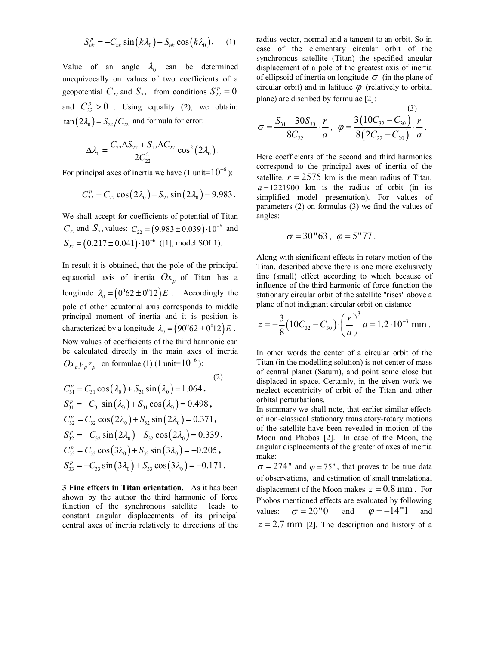$$
S_{nk}^p = -C_{nk} \sin(k\lambda_0) + S_{nk} \cos(k\lambda_0).
$$
 (1)

Value of an angle  $\lambda_0$  can be determined unequivocally on values of two coefficients of a geopotential  $C_{22}$  and  $S_{22}$  from conditions  $S_{22}^p = 0$ and  $C_{22}^p > 0$ . Using equality (2), we obtain:  $\tan (2\lambda_0) = S_{22}/C_{22}$  and formula for error:

$$
\Delta \lambda_0^{} = \frac{C_{22} \Delta S_{22} + S_{22} \Delta C_{22}}{2 C_{22}^2} \cos^2 \left(2 \lambda_0^{}\right).
$$

For principal axes of inertia we have (1 unit= $10^{-6}$ ):

$$
C_{22}^p = C_{22} \cos(2\lambda_0) + S_{22} \sin(2\lambda_0) = 9.983.
$$

We shall accept for coefficients of potential of Titan  $C_{22}$  and  $S_{22}$  values:  $C_{22} = (9.983 \pm 0.039) \cdot 10^{-6}$  and  $S_{22} = (0.217 \pm 0.041) \cdot 10^{-6}$  ([1], model SOL1).

In result it is obtained, that the pole of the principal equatorial axis of inertia  $Ox_p$  of Titan has a longitude  $\lambda_0 = (0^0 62 \pm 0^0 12) E$ . Accordingly the pole of other equatorial axis corresponds to middle principal moment of inertia and it is position is characterized by a longitude  $\lambda_0 = (90^\circ 62 \pm 0^\circ 12) E$ .

Now values of coefficients of the third harmonic can be calculated directly in the main axes of inertia  $Ox_p y_p z_p$  on formulae (1) (1 unit= $10^{-6}$ ):

(2)  
\n
$$
C_{31}^{p} = C_{31} \cos(\lambda_{0}) + S_{31} \sin(\lambda_{0}) = 1.064,
$$
\n
$$
S_{31}^{p} = -C_{31} \sin(\lambda_{0}) + S_{31} \cos(\lambda_{0}) = 0.498,
$$
\n
$$
C_{32}^{p} = C_{32} \cos(2\lambda_{0}) + S_{32} \sin(2\lambda_{0}) = 0.371,
$$
\n
$$
S_{32}^{p} = -C_{32} \sin(2\lambda_{0}) + S_{32} \cos(2\lambda_{0}) = 0.339,
$$

$$
C_{33}^p = C_{33} \cos(3\lambda_0) + S_{33} \sin(3\lambda_0) = -0.205,
$$
  
\n
$$
S_{33}^p = -C_{33} \sin(3\lambda_0) + S_{33} \cos(3\lambda_0) = -0.171.
$$

**3 Fine effects in Titan orientation.** As it has been shown by the author the third harmonic of force function of the synchronous satellite leads to constant angular displacements of its principal central axes of inertia relatively to directions of the radius-vector, normal and a tangent to an orbit. So in case of the elementary circular orbit of the synchronous satellite (Titan) the specified angular displacement of a pole of the greatest axis of inertia of ellipsoid of inertia on longitude  $\sigma$  (in the plane of circular orbit) and in latitude  $\varphi$  (relatively to orbital plane) are discribed by formulae [2]:

$$
\sigma = \frac{S_{31} - 30S_{33}}{8C_{22}} \cdot \frac{r}{a}, \ \ \varphi = \frac{3(10C_{32} - C_{30})}{8(2C_{22} - C_{20})} \cdot \frac{r}{a}.
$$

Here coefficients of the second and third harmonics correspond to the principal axes of inertia of the satellite.  $r = 2575$  km is the mean radius of Titan,  $a = 1221900$  km is the radius of orbit (in its simplified model presentation). For values of parameters (2) on formulas (3) we find the values of angles:

$$
\sigma = 30"63 \, , \, \varphi = 5"77 \, .
$$

Along with significant effects in rotary motion of the Titan, described above there is one more exclusively fine (small) effect according to which because of influence of the third harmonic of force function the stationary circular orbit of the satellite "rises" above a plane of not indignant circular orbit on distance

$$
z = -\frac{3}{8} (10C_{32} - C_{30}) \cdot \left(\frac{r}{a}\right)^3 a = 1.2 \cdot 10^{-3} \text{ mm}.
$$

In other words the center of a circular orbit of the Titan (in the modelling solution) is not center of mass of central planet (Saturn), and point some close but displaced in space. Certainly, in the given work we neglect eccentricity of orbit of the Titan and other orbital perturbations.

In summary we shall note, that earlier similar effects of non-classical stationary translatory-rotary motions of the satellite have been revealed in motion of the Moon and Phobos [2]. In case of the Moon, the angular displacements of the greater of axes of inertia make:

 $\sigma = 274$ " and  $\varphi = 75$ ", that proves to be true data of observations, and estimation of small translational displacement of the Moon makes  $z = 0.8$  mm. For Phobos mentioned effects are evaluated by following values:  $\sigma = 20"0$  and  $\varphi = -14"1$  and  $z = 2.7$  mm [2]. The description and history of a